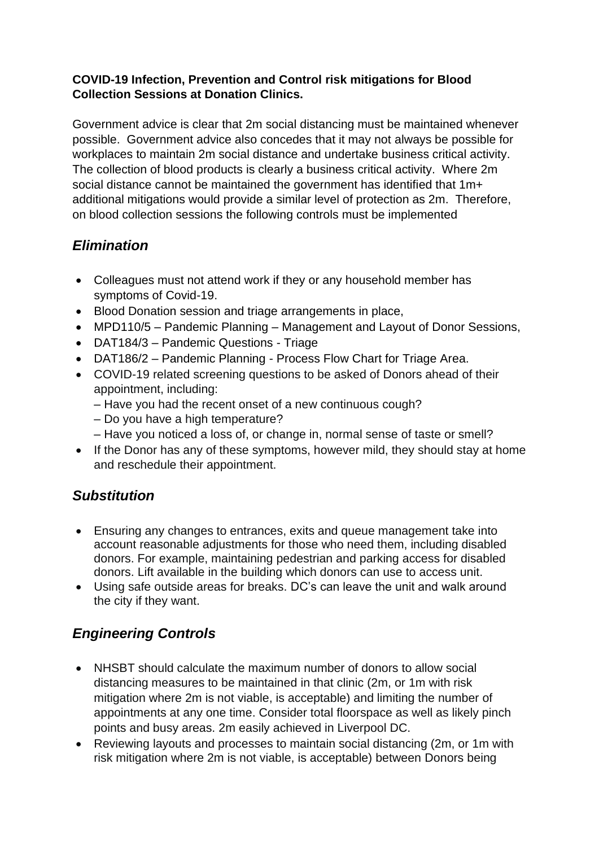#### **COVID-19 Infection, Prevention and Control risk mitigations for Blood Collection Sessions at Donation Clinics.**

Government advice is clear that 2m social distancing must be maintained whenever possible. Government advice also concedes that it may not always be possible for workplaces to maintain 2m social distance and undertake business critical activity. The collection of blood products is clearly a business critical activity. Where 2m social distance cannot be maintained the government has identified that 1m+ additional mitigations would provide a similar level of protection as 2m. Therefore, on blood collection sessions the following controls must be implemented

## *Elimination*

- Colleagues must not attend work if they or any household member has symptoms of Covid-19.
- Blood Donation session and triage arrangements in place,
- MPD110/5 Pandemic Planning Management and Layout of Donor Sessions,
- DAT184/3 Pandemic Questions Triage
- DAT186/2 Pandemic Planning Process Flow Chart for Triage Area.
- COVID-19 related screening questions to be asked of Donors ahead of their appointment, including:
	- Have you had the recent onset of a new continuous cough?
	- Do you have a high temperature?
	- Have you noticed a loss of, or change in, normal sense of taste or smell?
- If the Donor has any of these symptoms, however mild, they should stay at home and reschedule their appointment.

## *Substitution*

- Ensuring any changes to entrances, exits and queue management take into account reasonable adjustments for those who need them, including disabled donors. For example, maintaining pedestrian and parking access for disabled donors. Lift available in the building which donors can use to access unit.
- Using safe outside areas for breaks. DC's can leave the unit and walk around the city if they want.

## *Engineering Controls*

- NHSBT should calculate the maximum number of donors to allow social distancing measures to be maintained in that clinic (2m, or 1m with risk mitigation where 2m is not viable, is acceptable) and limiting the number of appointments at any one time. Consider total floorspace as well as likely pinch points and busy areas. 2m easily achieved in Liverpool DC.
- Reviewing layouts and processes to maintain social distancing (2m, or 1m with risk mitigation where 2m is not viable, is acceptable) between Donors being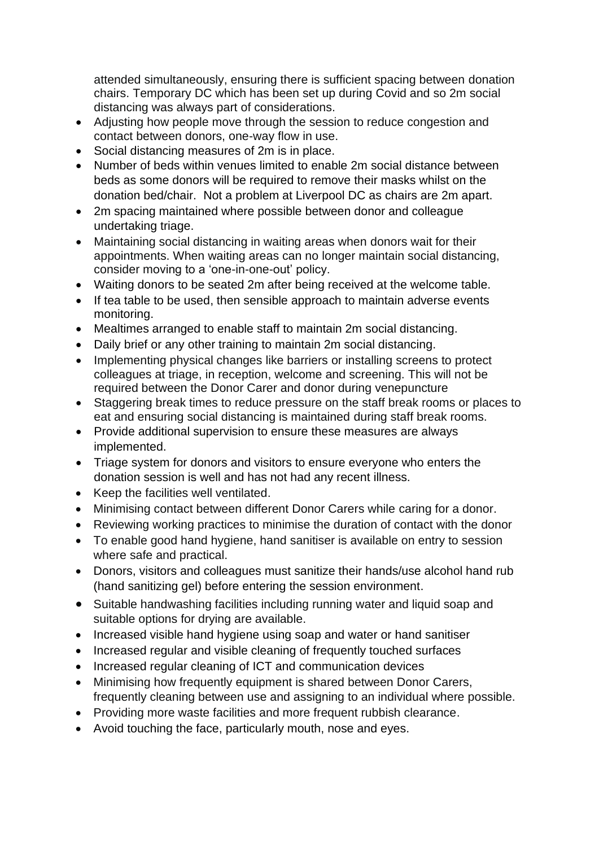attended simultaneously, ensuring there is sufficient spacing between donation chairs. Temporary DC which has been set up during Covid and so 2m social distancing was always part of considerations.

- Adjusting how people move through the session to reduce congestion and contact between donors, one-way flow in use.
- Social distancing measures of 2m is in place.
- Number of beds within venues limited to enable 2m social distance between beds as some donors will be required to remove their masks whilst on the donation bed/chair. Not a problem at Liverpool DC as chairs are 2m apart.
- 2m spacing maintained where possible between donor and colleague undertaking triage.
- Maintaining social distancing in waiting areas when donors wait for their appointments. When waiting areas can no longer maintain social distancing, consider moving to a 'one-in-one-out' policy.
- Waiting donors to be seated 2m after being received at the welcome table.
- If tea table to be used, then sensible approach to maintain adverse events monitoring.
- Mealtimes arranged to enable staff to maintain 2m social distancing.
- Daily brief or any other training to maintain 2m social distancing.
- Implementing physical changes like barriers or installing screens to protect colleagues at triage, in reception, welcome and screening. This will not be required between the Donor Carer and donor during venepuncture
- Staggering break times to reduce pressure on the staff break rooms or places to eat and ensuring social distancing is maintained during staff break rooms.
- Provide additional supervision to ensure these measures are always implemented.
- Triage system for donors and visitors to ensure everyone who enters the donation session is well and has not had any recent illness.
- Keep the facilities well ventilated.
- Minimising contact between different Donor Carers while caring for a donor.
- Reviewing working practices to minimise the duration of contact with the donor
- To enable good hand hygiene, hand sanitiser is available on entry to session where safe and practical.
- Donors, visitors and colleagues must sanitize their hands/use alcohol hand rub (hand sanitizing gel) before entering the session environment.
- Suitable handwashing facilities including running water and liquid soap and suitable options for drying are available.
- Increased visible hand hygiene using soap and water or hand sanitiser
- Increased regular and visible cleaning of frequently touched surfaces
- Increased regular cleaning of ICT and communication devices
- Minimising how frequently equipment is shared between Donor Carers, frequently cleaning between use and assigning to an individual where possible.
- Providing more waste facilities and more frequent rubbish clearance.
- Avoid touching the face, particularly mouth, nose and eyes.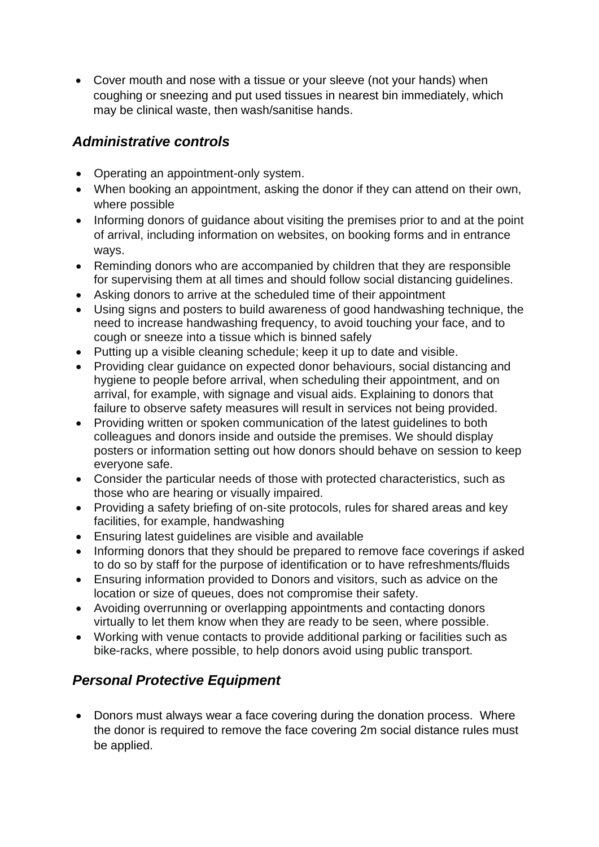• Cover mouth and nose with a tissue or your sleeve (not your hands) when coughing or sneezing and put used tissues in nearest bin immediately, which may be clinical waste, then wash/sanitise hands.

## *Administrative controls*

- Operating an appointment-only system.
- When booking an appointment, asking the donor if they can attend on their own, where possible
- Informing donors of guidance about visiting the premises prior to and at the point of arrival, including information on websites, on booking forms and in entrance ways.
- Reminding donors who are accompanied by children that they are responsible for supervising them at all times and should follow social distancing guidelines.
- Asking donors to arrive at the scheduled time of their appointment
- Using signs and posters to build awareness of good handwashing technique, the need to increase handwashing frequency, to avoid touching your face, and to cough or sneeze into a tissue which is binned safely
- Putting up a visible cleaning schedule; keep it up to date and visible.
- Providing clear guidance on expected donor behaviours, social distancing and hygiene to people before arrival, when scheduling their appointment, and on arrival, for example, with signage and visual aids. Explaining to donors that failure to observe safety measures will result in services not being provided.
- Providing written or spoken communication of the latest guidelines to both colleagues and donors inside and outside the premises. We should display posters or information setting out how donors should behave on session to keep everyone safe.
- Consider the particular needs of those with protected characteristics, such as those who are hearing or visually impaired.
- Providing a safety briefing of on-site protocols, rules for shared areas and key facilities, for example, handwashing
- Ensuring latest guidelines are visible and available
- Informing donors that they should be prepared to remove face coverings if asked to do so by staff for the purpose of identification or to have refreshments/fluids
- Ensuring information provided to Donors and visitors, such as advice on the location or size of queues, does not compromise their safety.
- Avoiding overrunning or overlapping appointments and contacting donors virtually to let them know when they are ready to be seen, where possible.
- Working with venue contacts to provide additional parking or facilities such as bike-racks, where possible, to help donors avoid using public transport.

# *Personal Protective Equipment*

• Donors must always wear a face covering during the donation process. Where the donor is required to remove the face covering 2m social distance rules must be applied.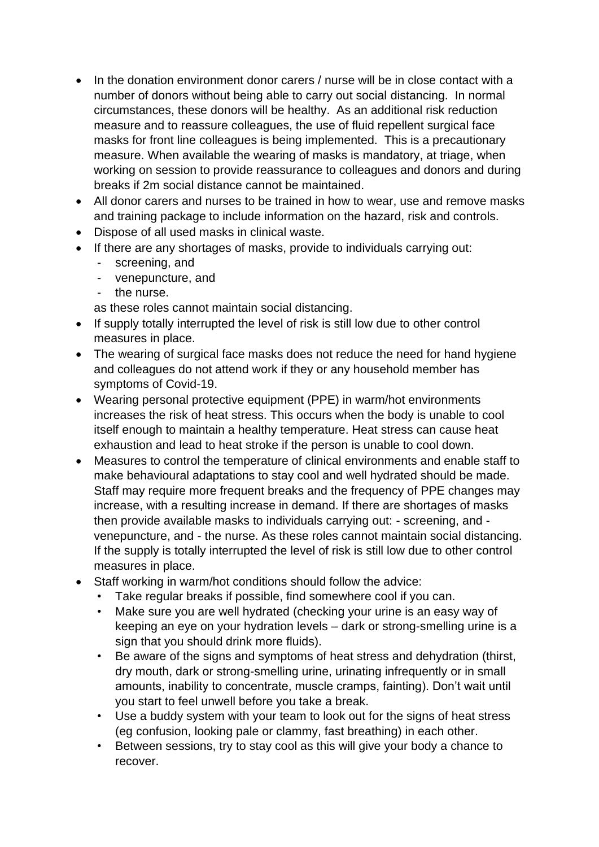- In the donation environment donor carers / nurse will be in close contact with a number of donors without being able to carry out social distancing. In normal circumstances, these donors will be healthy. As an additional risk reduction measure and to reassure colleagues, the use of fluid repellent surgical face masks for front line colleagues is being implemented. This is a precautionary measure. When available the wearing of masks is mandatory, at triage, when working on session to provide reassurance to colleagues and donors and during breaks if 2m social distance cannot be maintained.
- All donor carers and nurses to be trained in how to wear, use and remove masks and training package to include information on the hazard, risk and controls.
- Dispose of all used masks in clinical waste.
- If there are any shortages of masks, provide to individuals carrying out:
	- screening, and
	- venepuncture, and
	- the nurse.

as these roles cannot maintain social distancing.

- If supply totally interrupted the level of risk is still low due to other control measures in place.
- The wearing of surgical face masks does not reduce the need for hand hygiene and colleagues do not attend work if they or any household member has symptoms of Covid-19.
- Wearing personal protective equipment (PPE) in warm/hot environments increases the risk of heat stress. This occurs when the body is unable to cool itself enough to maintain a healthy temperature. Heat stress can cause heat exhaustion and lead to heat stroke if the person is unable to cool down.
- Measures to control the temperature of clinical environments and enable staff to make behavioural adaptations to stay cool and well hydrated should be made. Staff may require more frequent breaks and the frequency of PPE changes may increase, with a resulting increase in demand. If there are shortages of masks then provide available masks to individuals carrying out: - screening, and venepuncture, and - the nurse. As these roles cannot maintain social distancing. If the supply is totally interrupted the level of risk is still low due to other control measures in place.
- Staff working in warm/hot conditions should follow the advice:
	- Take regular breaks if possible, find somewhere cool if you can.
	- Make sure you are well hydrated (checking your urine is an easy way of keeping an eye on your hydration levels – dark or strong-smelling urine is a sign that you should drink more fluids).
	- Be aware of the signs and symptoms of heat stress and dehydration (thirst, dry mouth, dark or strong-smelling urine, urinating infrequently or in small amounts, inability to concentrate, muscle cramps, fainting). Don't wait until you start to feel unwell before you take a break.
	- Use a buddy system with your team to look out for the signs of heat stress (eg confusion, looking pale or clammy, fast breathing) in each other.
	- Between sessions, try to stay cool as this will give your body a chance to recover.